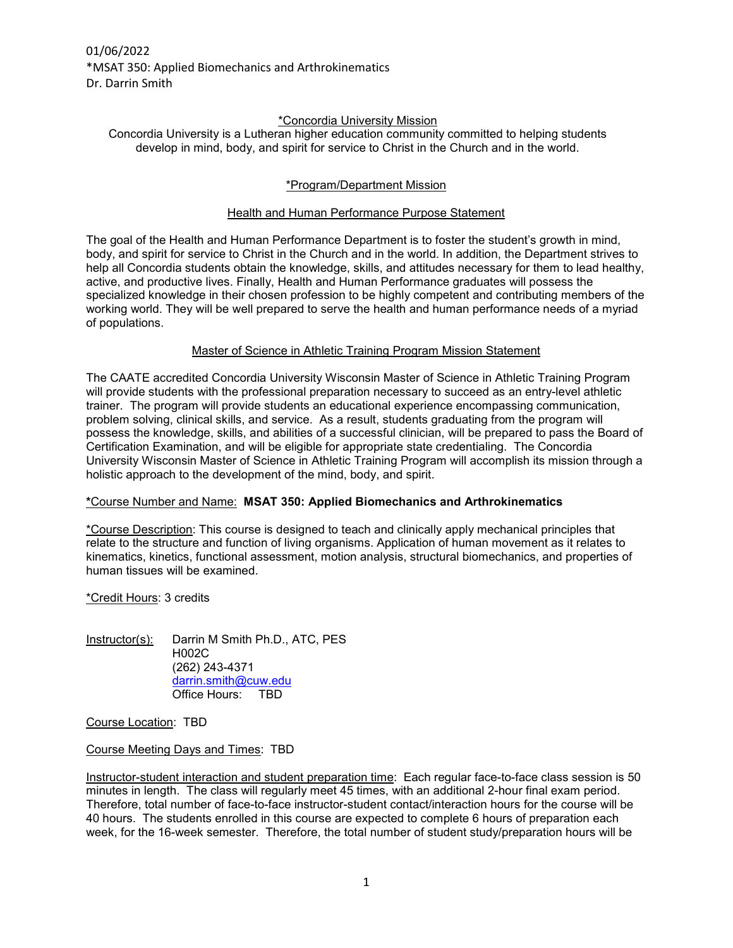01/06/2022 \*MSAT 350: Applied Biomechanics and Arthrokinematics Dr. Darrin Smith

### \*Concordia University Mission

Concordia University is a Lutheran higher education community committed to helping students develop in mind, body, and spirit for service to Christ in the Church and in the world.

### \*Program/Department Mission

### Health and Human Performance Purpose Statement

The goal of the Health and Human Performance Department is to foster the student's growth in mind, body, and spirit for service to Christ in the Church and in the world. In addition, the Department strives to help all Concordia students obtain the knowledge, skills, and attitudes necessary for them to lead healthy, active, and productive lives. Finally, Health and Human Performance graduates will possess the specialized knowledge in their chosen profession to be highly competent and contributing members of the working world. They will be well prepared to serve the health and human performance needs of a myriad of populations.

### Master of Science in Athletic Training Program Mission Statement

The CAATE accredited Concordia University Wisconsin Master of Science in Athletic Training Program will provide students with the professional preparation necessary to succeed as an entry-level athletic trainer. The program will provide students an educational experience encompassing communication, problem solving, clinical skills, and service. As a result, students graduating from the program will possess the knowledge, skills, and abilities of a successful clinician, will be prepared to pass the Board of Certification Examination, and will be eligible for appropriate state credentialing. The Concordia University Wisconsin Master of Science in Athletic Training Program will accomplish its mission through a holistic approach to the development of the mind, body, and spirit.

### **\***Course Number and Name: **MSAT 350: Applied Biomechanics and Arthrokinematics**

\*Course Description: This course is designed to teach and clinically apply mechanical principles that relate to the structure and function of living organisms. Application of human movement as it relates to kinematics, kinetics, functional assessment, motion analysis, structural biomechanics, and properties of human tissues will be examined.

### \*Credit Hours: 3 credits

Instructor(s): Darrin M Smith Ph.D., ATC, PES H002C (262) 243-4371 [darrin.smith@cuw.edu](mailto:darrin.smith@cuw.edu) Office Hours: TBD

Course Location: TBD

Course Meeting Days and Times: TBD

Instructor-student interaction and student preparation time: Each regular face-to-face class session is 50 minutes in length. The class will regularly meet 45 times, with an additional 2-hour final exam period. Therefore, total number of face-to-face instructor-student contact/interaction hours for the course will be 40 hours. The students enrolled in this course are expected to complete 6 hours of preparation each week, for the 16-week semester. Therefore, the total number of student study/preparation hours will be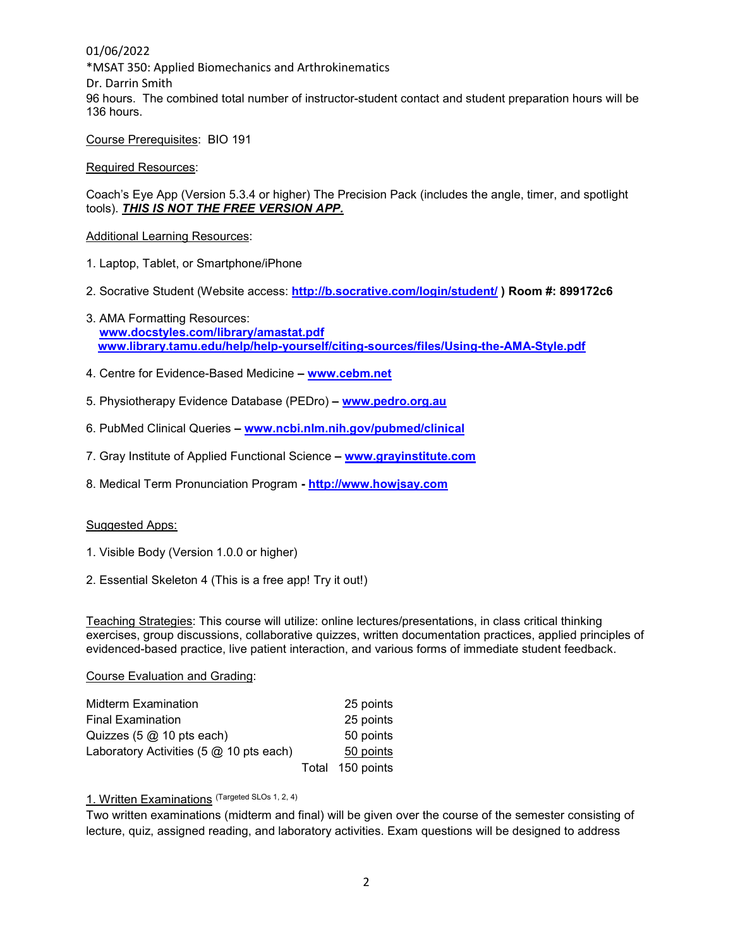01/06/2022 \*MSAT 350: Applied Biomechanics and Arthrokinematics Dr. Darrin Smith 96 hours. The combined total number of instructor-student contact and student preparation hours will be 136 hours.

Course Prerequisites: BIO 191

Required Resources:

Coach's Eye App (Version 5.3.4 or higher) The Precision Pack (includes the angle, timer, and spotlight tools). *THIS IS NOT THE FREE VERSION APP.* 

Additional Learning Resources:

- 1. Laptop, Tablet, or Smartphone/iPhone
- 2. Socrative Student (Website access: **<http://b.socrative.com/login/student/>) Room #: 899172c6**
- 3. AMA Formatting Resources: **[www.docstyles.com/library/amastat.pdf](http://www.docstyles.com/library/amastat.pdf) [www.library.tamu.edu/help/help-yourself/citing-sources/files/Using-the-AMA-Style.pdf](http://www.library.tamu.edu/help/help-yourself/citing-sources/files/Using-the-AMA-Style.pdf)**
- 4. Centre for Evidence-Based Medicine **– [www.cebm.net](http://www.cebm.net/)**
- 5. Physiotherapy Evidence Database (PEDro) **– [www.pedro.org.au](http://www.pedro.org.au/)**
- 6. PubMed Clinical Queries **– [www.ncbi.nlm.nih.gov/pubmed/clinical](http://www.ncbi.nlm.nih.gov/pubmed/clinical)**
- 7. Gray Institute of Applied Functional Science **– [www.grayinstitute.com](http://www.grayinstitute.com/)**
- 8. Medical Term Pronunciation Program **- [http://www.howjsay.com](http://www.howjsay.com/)**

#### Suggested Apps:

- 1. Visible Body (Version 1.0.0 or higher)
- 2. Essential Skeleton 4 (This is a free app! Try it out!)

Teaching Strategies: This course will utilize: online lectures/presentations, in class critical thinking exercises, group discussions, collaborative quizzes, written documentation practices, applied principles of evidenced-based practice, live patient interaction, and various forms of immediate student feedback.

#### Course Evaluation and Grading:

| Midterm Examination                                        | 25 points        |
|------------------------------------------------------------|------------------|
| <b>Final Examination</b>                                   | 25 points        |
| Quizzes $(5 \text{ @ } 10 \text{ pts each})$               | 50 points        |
| Laboratory Activities $(5 \text{ @ } 10 \text{ pts each})$ | 50 points        |
|                                                            | Total 150 points |

### 1. Written Examinations (Targeted SLOs 1, 2, 4)

Two written examinations (midterm and final) will be given over the course of the semester consisting of lecture, quiz, assigned reading, and laboratory activities. Exam questions will be designed to address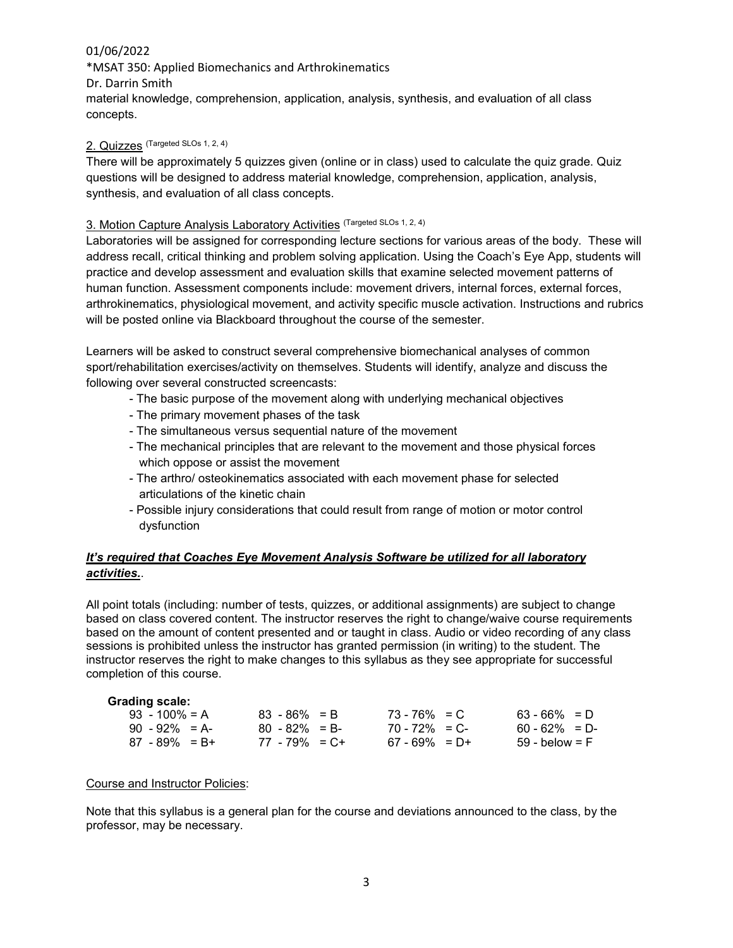\*MSAT 350: Applied Biomechanics and Arthrokinematics Dr. Darrin Smith material knowledge, comprehension, application, analysis, synthesis, and evaluation of all class concepts.

### 2. Quizzes (Targeted SLOs 1, 2, 4)

There will be approximately 5 quizzes given (online or in class) used to calculate the quiz grade. Quiz questions will be designed to address material knowledge, comprehension, application, analysis, synthesis, and evaluation of all class concepts.

### 3. Motion Capture Analysis Laboratory Activities (Targeted SLOs 1, 2, 4)

Laboratories will be assigned for corresponding lecture sections for various areas of the body. These will address recall, critical thinking and problem solving application. Using the Coach's Eye App, students will practice and develop assessment and evaluation skills that examine selected movement patterns of human function. Assessment components include: movement drivers, internal forces, external forces, arthrokinematics, physiological movement, and activity specific muscle activation. Instructions and rubrics will be posted online via Blackboard throughout the course of the semester.

Learners will be asked to construct several comprehensive biomechanical analyses of common sport/rehabilitation exercises/activity on themselves. Students will identify, analyze and discuss the following over several constructed screencasts:

- The basic purpose of the movement along with underlying mechanical objectives
- The primary movement phases of the task
- The simultaneous versus sequential nature of the movement
- The mechanical principles that are relevant to the movement and those physical forces which oppose or assist the movement
- The arthro/ osteokinematics associated with each movement phase for selected articulations of the kinetic chain
- Possible injury considerations that could result from range of motion or motor control dysfunction

## *It's required that Coaches Eye Movement Analysis Software be utilized for all laboratory activities.*.

All point totals (including: number of tests, quizzes, or additional assignments) are subject to change based on class covered content. The instructor reserves the right to change/waive course requirements based on the amount of content presented and or taught in class. Audio or video recording of any class sessions is prohibited unless the instructor has granted permission (in writing) to the student. The instructor reserves the right to make changes to this syllabus as they see appropriate for successful completion of this course.

| <b>Grading scale:</b> |                   |                   |                 |
|-----------------------|-------------------|-------------------|-----------------|
| $93 - 100\% = A$      | $83 - 86\% = B$   | $73 - 76\% = C$   | $63 - 66\% = D$ |
| $90 - 92\% = A$       | $80 - 82\% = B$   | $70 - 72\% = C$   | $60 - 62\% = D$ |
| $87 - 89\% = B +$     | $77 - 79\% = C +$ | $67 - 69\% = D +$ | 59 - below = F  |

### Course and Instructor Policies:

Note that this syllabus is a general plan for the course and deviations announced to the class, by the professor, may be necessary.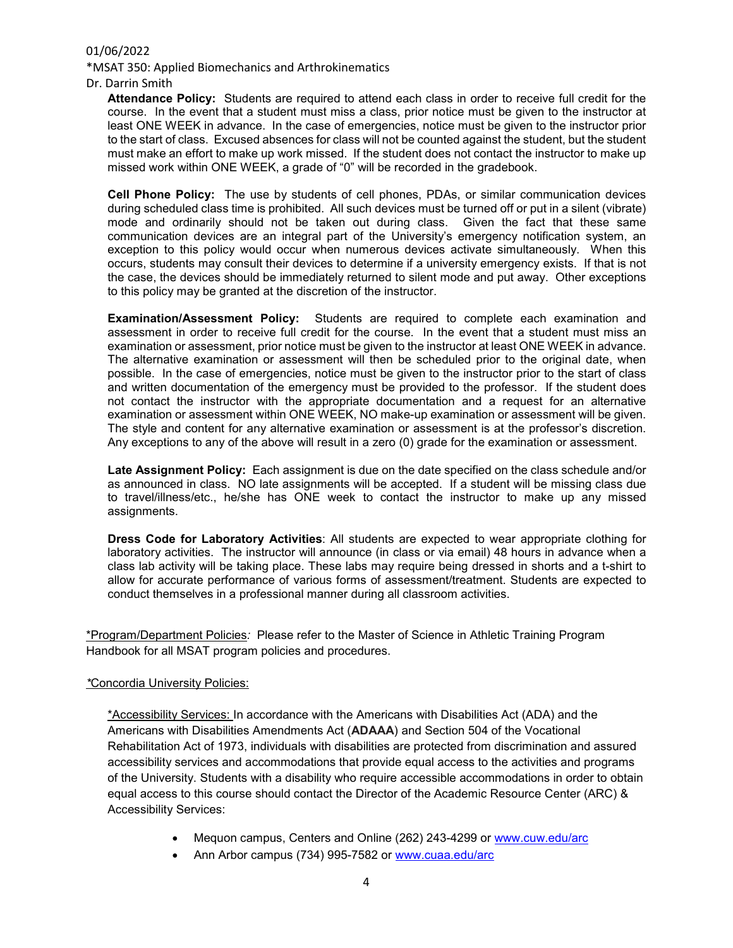\*MSAT 350: Applied Biomechanics and Arthrokinematics

Dr. Darrin Smith

**Attendance Policy:** Students are required to attend each class in order to receive full credit for the course. In the event that a student must miss a class, prior notice must be given to the instructor at least ONE WEEK in advance. In the case of emergencies, notice must be given to the instructor prior to the start of class. Excused absences for class will not be counted against the student, but the student must make an effort to make up work missed. If the student does not contact the instructor to make up missed work within ONE WEEK, a grade of "0" will be recorded in the gradebook.

**Cell Phone Policy:** The use by students of cell phones, PDAs, or similar communication devices during scheduled class time is prohibited. All such devices must be turned off or put in a silent (vibrate) mode and ordinarily should not be taken out during class. Given the fact that these same communication devices are an integral part of the University's emergency notification system, an exception to this policy would occur when numerous devices activate simultaneously. When this occurs, students may consult their devices to determine if a university emergency exists. If that is not the case, the devices should be immediately returned to silent mode and put away. Other exceptions to this policy may be granted at the discretion of the instructor.

**Examination/Assessment Policy:** Students are required to complete each examination and assessment in order to receive full credit for the course. In the event that a student must miss an examination or assessment, prior notice must be given to the instructor at least ONE WEEK in advance. The alternative examination or assessment will then be scheduled prior to the original date, when possible. In the case of emergencies, notice must be given to the instructor prior to the start of class and written documentation of the emergency must be provided to the professor. If the student does not contact the instructor with the appropriate documentation and a request for an alternative examination or assessment within ONE WEEK, NO make-up examination or assessment will be given. The style and content for any alternative examination or assessment is at the professor's discretion. Any exceptions to any of the above will result in a zero (0) grade for the examination or assessment.

**Late Assignment Policy:** Each assignment is due on the date specified on the class schedule and/or as announced in class. NO late assignments will be accepted. If a student will be missing class due to travel/illness/etc., he/she has ONE week to contact the instructor to make up any missed assignments.

**Dress Code for Laboratory Activities**: All students are expected to wear appropriate clothing for laboratory activities. The instructor will announce (in class or via email) 48 hours in advance when a class lab activity will be taking place. These labs may require being dressed in shorts and a t-shirt to allow for accurate performance of various forms of assessment/treatment. Students are expected to conduct themselves in a professional manner during all classroom activities.

\*Program/Department Policies*:* Please refer to the Master of Science in Athletic Training Program Handbook for all MSAT program policies and procedures.

### *\**Concordia University Policies:

\*Accessibility Services: In accordance with the Americans with Disabilities Act (ADA) and the Americans with Disabilities Amendments Act (**ADAAA**) and Section 504 of the Vocational Rehabilitation Act of 1973, individuals with disabilities are protected from discrimination and assured accessibility services and accommodations that provide equal access to the activities and programs of the University. Students with a disability who require accessible accommodations in order to obtain equal access to this course should contact the Director of the Academic Resource Center (ARC) & Accessibility Services:

- Mequon campus, Centers and Online (262) 243-4299 or [www.cuw.edu/arc](http://www.cuw.edu/arc)
- Ann Arbor campus (734) 995-7582 or [www.cuaa.edu/arc](http://www.cuaa.edu/arc)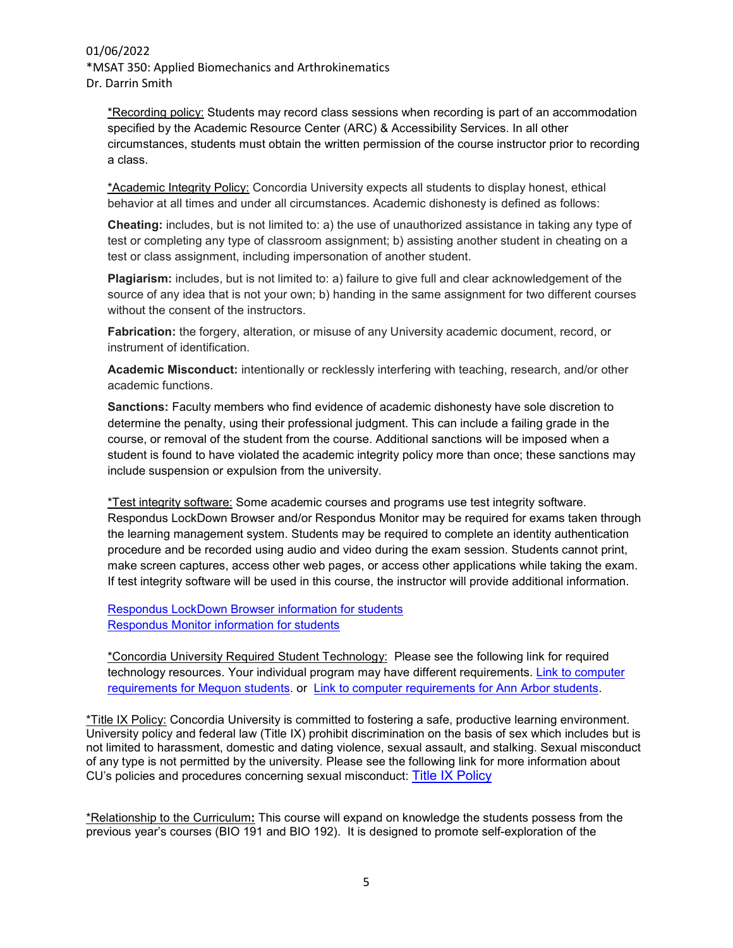### 01/06/2022 \*MSAT 350: Applied Biomechanics and Arthrokinematics Dr. Darrin Smith

\*Recording policy: Students may record class sessions when recording is part of an accommodation specified by the Academic Resource Center (ARC) & Accessibility Services. In all other circumstances, students must obtain the written permission of the course instructor prior to recording a class.

\*Academic Integrity Policy: Concordia University expects all students to display honest, ethical behavior at all times and under all circumstances. Academic dishonesty is defined as follows:

**Cheating:** includes, but is not limited to: a) the use of unauthorized assistance in taking any type of test or completing any type of classroom assignment; b) assisting another student in cheating on a test or class assignment, including impersonation of another student.

**Plagiarism:** includes, but is not limited to: a) failure to give full and clear acknowledgement of the source of any idea that is not your own; b) handing in the same assignment for two different courses without the consent of the instructors.

**Fabrication:** the forgery, alteration, or misuse of any University academic document, record, or instrument of identification.

**Academic Misconduct:** intentionally or recklessly interfering with teaching, research, and/or other academic functions.

**Sanctions:** Faculty members who find evidence of academic dishonesty have sole discretion to determine the penalty, using their professional judgment. This can include a failing grade in the course, or removal of the student from the course. Additional sanctions will be imposed when a student is found to have violated the academic integrity policy more than once; these sanctions may include suspension or expulsion from the university.

\*Test integrity software: Some academic courses and programs use test integrity software. Respondus LockDown Browser and/or Respondus Monitor may be required for exams taken through the learning management system. Students may be required to complete an identity authentication procedure and be recorded using audio and video during the exam session. Students cannot print, make screen captures, access other web pages, or access other applications while taking the exam. If test integrity software will be used in this course, the instructor will provide additional information.

[Respondus LockDown Browser information for students](http://celt.cuw.edu/respondus-lockdown-browser/) [Respondus Monitor information for students](http://celt.cuw.edu/respondus-monitor/)

\*Concordia University Required Student Technology: Please see the following link for required technology resources. Your individual program may have different requirements. Link to computer [requirements for Mequon students.](https://www.cuw.edu/academics/services/technology-services/computer-requirements.html) or [Link to computer requirements for Ann Arbor students.](https://www.cuaa.edu/academics/services/technology-services/computer-requirements.html)

\*Title IX Policy: Concordia University is committed to fostering a safe, productive learning environment. University policy and federal law (Title IX) prohibit discrimination on the basis of sex which includes but is not limited to harassment, domestic and dating violence, sexual assault, and stalking. Sexual misconduct of any type is not permitted by the university. Please see the following link for more information about CU's policies and procedures concerning sexual misconduct: [Title IX Policy](https://www.cuw.edu/about/offices/title-ix-sexual-harassment-policies/index.html)

\*Relationship to the Curriculum**:** This course will expand on knowledge the students possess from the previous year's courses (BIO 191 and BIO 192). It is designed to promote self-exploration of the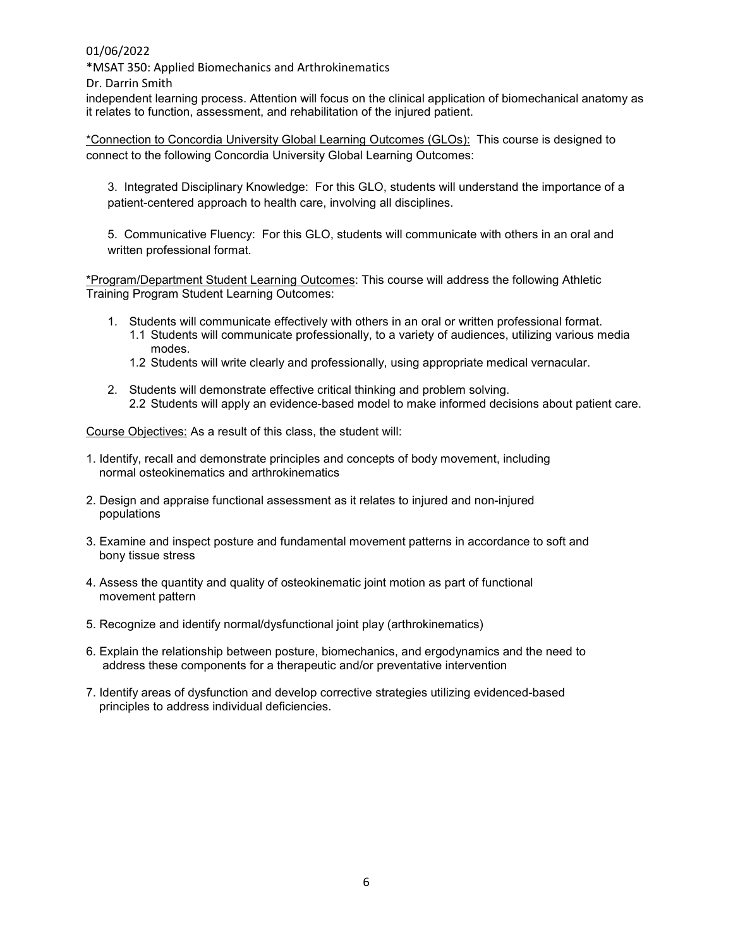\*MSAT 350: Applied Biomechanics and Arthrokinematics

Dr. Darrin Smith

independent learning process. Attention will focus on the clinical application of biomechanical anatomy as it relates to function, assessment, and rehabilitation of the injured patient.

\*Connection to Concordia University Global Learning Outcomes (GLOs): This course is designed to connect to the following Concordia University Global Learning Outcomes:

3. Integrated Disciplinary Knowledge: For this GLO, students will understand the importance of a patient-centered approach to health care, involving all disciplines.

5. Communicative Fluency: For this GLO, students will communicate with others in an oral and written professional format.

\*Program/Department Student Learning Outcomes: This course will address the following Athletic Training Program Student Learning Outcomes:

- 1. Students will communicate effectively with others in an oral or written professional format.
	- 1.1 Students will communicate professionally, to a variety of audiences, utilizing various media modes.
	- 1.2 Students will write clearly and professionally, using appropriate medical vernacular.
- 2. Students will demonstrate effective critical thinking and problem solving. 2.2 Students will apply an evidence-based model to make informed decisions about patient care.

Course Objectives: As a result of this class, the student will:

- 1. Identify, recall and demonstrate principles and concepts of body movement, including normal osteokinematics and arthrokinematics
- 2. Design and appraise functional assessment as it relates to injured and non-injured populations
- 3. Examine and inspect posture and fundamental movement patterns in accordance to soft and bony tissue stress
- 4. Assess the quantity and quality of osteokinematic joint motion as part of functional movement pattern
- 5. Recognize and identify normal/dysfunctional joint play (arthrokinematics)
- 6. Explain the relationship between posture, biomechanics, and ergodynamics and the need to address these components for a therapeutic and/or preventative intervention
- 7. Identify areas of dysfunction and develop corrective strategies utilizing evidenced-based principles to address individual deficiencies.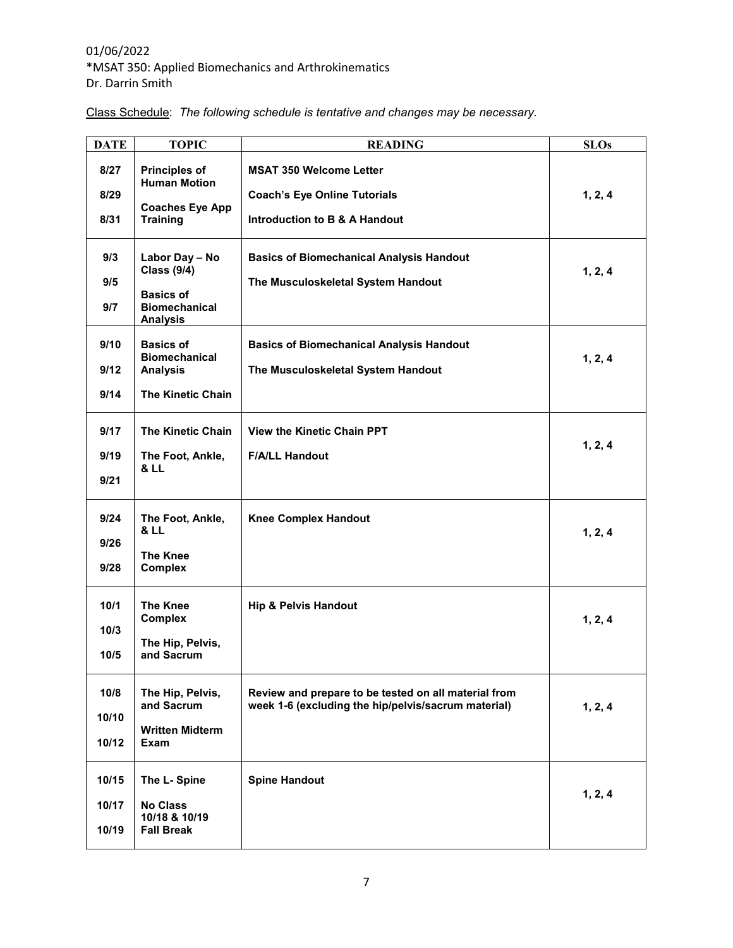## 01/06/2022 \*MSAT 350: Applied Biomechanics and Arthrokinematics Dr. Darrin Smith

|  | Class Schedule: The following schedule is tentative and changes may be necessary. |  |  |
|--|-----------------------------------------------------------------------------------|--|--|
|--|-----------------------------------------------------------------------------------|--|--|

| <b>DATE</b>             | <b>TOPIC</b>                                                                                        | <b>READING</b>                                                                                              | <b>SLOs</b> |
|-------------------------|-----------------------------------------------------------------------------------------------------|-------------------------------------------------------------------------------------------------------------|-------------|
| 8/27<br>8/29<br>8/31    | <b>Principles of</b><br><b>Human Motion</b><br><b>Coaches Eye App</b><br><b>Training</b>            | <b>MSAT 350 Welcome Letter</b><br><b>Coach's Eye Online Tutorials</b><br>Introduction to B & A Handout      | 1, 2, 4     |
| 9/3<br>9/5<br>9/7       | Labor Day - No<br><b>Class (9/4)</b><br><b>Basics of</b><br><b>Biomechanical</b><br><b>Analysis</b> | <b>Basics of Biomechanical Analysis Handout</b><br>The Musculoskeletal System Handout                       | 1, 2, 4     |
| 9/10<br>9/12<br>9/14    | <b>Basics of</b><br><b>Biomechanical</b><br><b>Analysis</b><br><b>The Kinetic Chain</b>             | <b>Basics of Biomechanical Analysis Handout</b><br>The Musculoskeletal System Handout                       | 1, 2, 4     |
| 9/17<br>9/19<br>9/21    | <b>The Kinetic Chain</b><br>The Foot, Ankle,<br><b>&amp; LL</b>                                     | <b>View the Kinetic Chain PPT</b><br><b>F/A/LL Handout</b>                                                  | 1, 2, 4     |
| 9/24<br>9/26<br>9/28    | The Foot, Ankle,<br><b>&amp; LL</b><br><b>The Knee</b><br><b>Complex</b>                            | <b>Knee Complex Handout</b>                                                                                 | 1, 2, 4     |
| 10/1<br>10/3<br>10/5    | <b>The Knee</b><br><b>Complex</b><br>The Hip, Pelvis,<br>and Sacrum                                 | <b>Hip &amp; Pelvis Handout</b>                                                                             | 1, 2, 4     |
| 10/8<br>10/10<br>10/12  | The Hip, Pelvis,<br>and Sacrum<br><b>Written Midterm</b><br><b>Exam</b>                             | Review and prepare to be tested on all material from<br>week 1-6 (excluding the hip/pelvis/sacrum material) | 1, 2, 4     |
| 10/15<br>10/17<br>10/19 | The L- Spine<br><b>No Class</b><br>10/18 & 10/19<br><b>Fall Break</b>                               | <b>Spine Handout</b>                                                                                        | 1, 2, 4     |